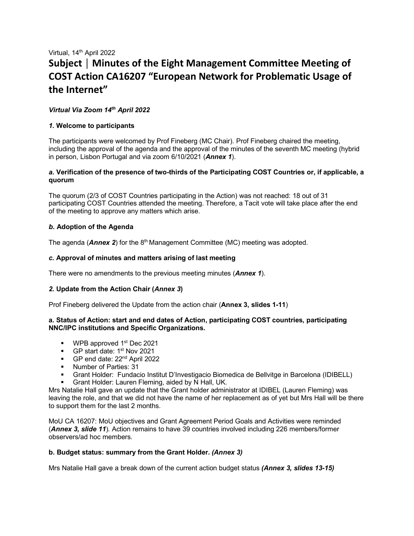# Virtual, 14<sup>th</sup> April 2022 **Subject │ Minutes of the Eight Management Committee Meeting of COST Action CA16207 "European Network for Problematic Usage of the Internet"**

# *Virtual Via Zoom 14th April 2022*

# *1.* **Welcome to participants**

The participants were welcomed by Prof Fineberg (MC Chair). Prof Fineberg chaired the meeting, including the approval of the agenda and the approval of the minutes of the seventh MC meeting (hybrid in person, Lisbon Portugal and via zoom 6/10/2021 (*Annex 1*).

## *a.* **Verification of the presence of two-thirds of the Participating COST Countries or, if applicable, a quorum**

The quorum (2/3 of COST Countries participating in the Action) was not reached: 18 out of 31 participating COST Countries attended the meeting. Therefore, a Tacit vote will take place after the end of the meeting to approve any matters which arise.

# *b.* **Adoption of the Agenda**

The agenda (**Annex 2**) for the 8<sup>th</sup> Management Committee (MC) meeting was adopted.

# *c.* **Approval of minutes and matters arising of last meeting**

There were no amendments to the previous meeting minutes (*Annex 1*).

# *2.* **Update from the Action Chair (***Annex 3***)**

Prof Fineberg delivered the Update from the action chair (**Annex 3, slides 1-11**)

# **a. Status of Action: start and end dates of Action, participating COST countries, participating NNC/IPC institutions and Specific Organizations.**

- $\blacksquare$  WPB approved 1<sup>st</sup> Dec 2021
- GP start date: 1<sup>st</sup> Nov 2021
- GP end date: 22<sup>nd</sup> April 2022
- **Number of Parties: 31**
- Grant Holder: Fundacio Institut D'Investigacio Biomedica de Bellvitge in Barcelona (IDIBELL)
- Grant Holder: Lauren Fleming, aided by N Hall, UK.

Mrs Natalie Hall gave an update that the Grant holder administrator at IDIBEL (Lauren Fleming) was leaving the role, and that we did not have the name of her replacement as of yet but Mrs Hall will be there to support them for the last 2 months.

MoU CA 16207: MoU objectives and Grant Agreement Period Goals and Activities were reminded (*Annex 3, slide 11*). Action remains to have 39 countries involved including 226 members/former observers/ad hoc members.

# **b. Budget status: summary from the Grant Holder.** *(Annex 3)*

Mrs Natalie Hall gave a break down of the current action budget status *(Annex 3, slides 13-15)*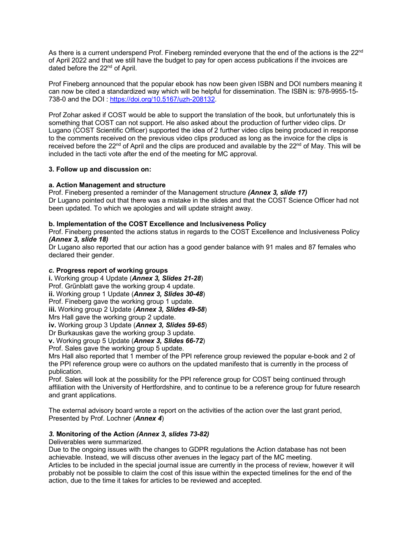As there is a current underspend Prof. Fineberg reminded everyone that the end of the actions is the 22<sup>nd</sup> of April 2022 and that we still have the budget to pay for open access publications if the invoices are dated before the 22<sup>nd</sup> of April.

Prof Fineberg announced that the popular ebook has now been given ISBN and DOI numbers meaning it can now be cited a standardized way which will be helpful for dissemination. The ISBN is: 978-9955-15- 738-0 and the DOI [: https://doi.org/10.5167/uzh-208132.](https://doi.org/10.5167/uzh-208132)

Prof Zohar asked if COST would be able to support the translation of the book, but unfortunately this is something that COST can not support. He also asked about the production of further video clips. Dr Lugano (COST Scientific Officer) supported the idea of 2 further video clips being produced in response to the comments received on the previous video clips produced as long as the invoice for the clips is received before the  $22^{nd}$  of April and the clips are produced and available by the  $22^{nd}$  of May. This will be included in the tacti vote after the end of the meeting for MC approval.

## **3. Follow up and discussion on:**

## **a. Action Management and structure**

Prof. Fineberg presented a reminder of the Management structure *(Annex 3, slide 17)* Dr Lugano pointed out that there was a mistake in the slides and that the COST Science Officer had not been updated. To which we apologies and will update straight away.

## **b. Implementation of the COST Excellence and Inclusiveness Policy**

Prof. Fineberg presented the actions status in regards to the COST Excellence and Inclusiveness Policy *(Annex 3, slide 18)*

Dr Lugano also reported that our action has a good gender balance with 91 males and 87 females who declared their gender.

## *c.* **Progress report of working groups**

**i.** Working group 4 Update (*Annex 3, Slides 21-28*) Prof. Grűnblatt gave the working group 4 update. **ii.** Working group 1 Update (*Annex 3, Slides 30-48*) Prof. Fineberg gave the working group 1 update. **iii.** Working group 2 Update (*Annex 3, Slides 49-58*) Mrs Hall gave the working group 2 update. **iv.** Working group 3 Update (*Annex 3, Slides 59-65*) Dr Burkauskas gave the working group 3 update. **v.** Working group 5 Update (*Annex 3, Slides 66-72*)

Prof. Sales gave the working group 5 update.

Mrs Hall also reported that 1 member of the PPI reference group reviewed the popular e-book and 2 of the PPI reference group were co authors on the updated manifesto that is currently in the process of publication.

Prof. Sales will look at the possibility for the PPI reference group for COST being continued through affiliation with the University of Hertfordshire, and to continue to be a reference group for future research and grant applications.

The external advisory board wrote a report on the activities of the action over the last grant period, Presented by Prof. Lochner (*Annex 4*)

# *3.* **Monitoring of the Action** *(Annex 3, slides 73-82)*

Deliverables were summarized.

Due to the ongoing issues with the changes to GDPR regulations the Action database has not been achievable. Instead, we will discuss other avenues in the legacy part of the MC meeting.

Articles to be included in the special journal issue are currently in the process of review, however it will probably not be possible to claim the cost of this issue within the expected timelines for the end of the action, due to the time it takes for articles to be reviewed and accepted.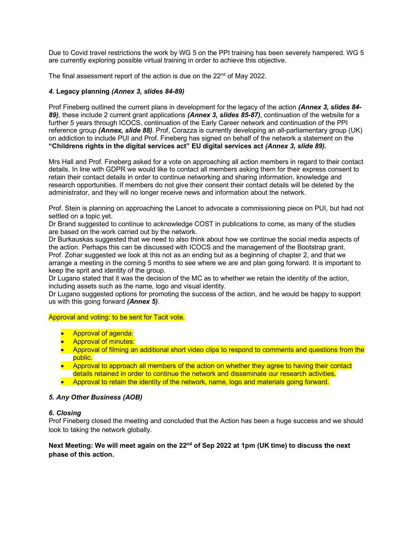Due to Covid travel restrictions the work by WG 5 on the PPI training has been severely hampered. WG 5 are currently exploring possible virtual training in order to achieve this objective.

The final assessment report of the action is due on the 22<sup>nd</sup> of May 2022.

# *4.* **Legacy planning** *(Annex 3, slides 84-89)*

Prof Fineberg outlined the current plans in development for the legacy of the action *(Annex 3, slides 84- 89)*, these include 2 current grant applications *(Annex 3, slides 85-87)*, continuation of the website for a further 5 years through ICOCS, continuation of the Early Career network and continuation of the PPI reference group *(Annex, slide 88)*. Prof, Corazza is currently developing an all-parliamentary group (UK) on addiction to include PUI and Prof. Fineberg has signed on behalf of the network a statement on the **"Childrens rights in the digital services act" EU digital services act** *(Annex 3, slide 89)***.**

Mrs Hall and Prof. Fineberg asked for a vote on approaching all action members in regard to their contact details. In line with GDPR we would like to contact all members asking them for their express consent to retain their contact details in order to continue networking and sharing information, knowledge and research opportunities. If members do not give their consent their contact details will be deleted by the administrator, and they will no longer receive news and information about the network.

Prof. Stein is planning on approaching the Lancet to advocate a commissioning piece on PUI, but had not settled on a topic yet.

Dr Brand suggested to continue to acknowledge COST in publications to come, as many of the studies are based on the work carried out by the network.

Dr Burkauskas suggested that we need to also think about how we continue the social media aspects of the action. Perhaps this can be discussed with ICOCS and the management of the Bootstrap grant. Prof. Zohar suggested we look at this not as an ending but as a beginning of chapter 2, and that we arrange a meeting in the coming 5 months to see where we are and plan going forward. It is important to keep the sprit and identity of the group.

Dr Lugano stated that it was the decision of the MC as to whether we retain the identity of the action, including assets such as the name, logo and visual identity.

Dr Lugano suggested options for promoting the success of the action, and he would be happy to support us with this going forward *(Annex 5)*.

## Approval and voting: to be sent for Tacit vote.

- Approval of agenda:
- Approval of minutes:
- Approval of filming an additional short video clips to respond to comments and questions from the public.
- Approval to approach all members of the action on whether they agree to having their contact details retained in order to continue the network and disseminate our research activities.
- Approval to retain the identity of the network, name, logo and materials going forward.

## *5. Any Other Business (AOB)*

## *6. Closing*

Prof Fineberg closed the meeting and concluded that the Action has been a huge success and we should look to taking the network globally.

# Next Meeting: We will meet again on the 22<sup>nd</sup> of Sep 2022 at 1pm (UK time) to discuss the next **phase of this action.**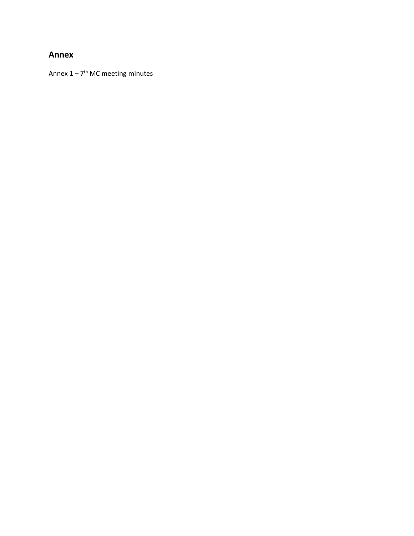# **Annex**

Annex  $1 - 7$ <sup>th</sup> MC meeting minutes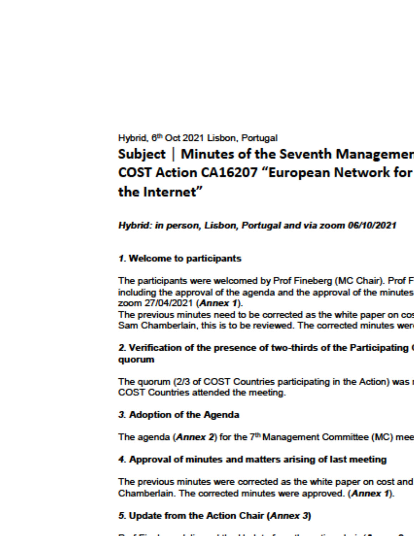# Hybrid, 6th Oct 2021 Lisbon, Portugal Subject | Minutes of the Seventh Managemer **COST Action CA16207 "European Network for** the Internet"

# Hybrid: in person, Lisbon, Portugal and via zoom 06/10/2021

# 1. Welcome to participants

The participants were welcomed by Prof Fineberg (MC Chair). Prof F including the approval of the agenda and the approval of the minutes zoom 27/04/2021 (Annex 1).

The previous minutes need to be corrected as the white paper on cor Sam Chamberlain, this is to be reviewed. The corrected minutes were

# 2. Verification of the presence of two-thirds of the Participating ( quorum

The quorum (2/3 of COST Countries participating in the Action) was a COST Countries attended the meeting.

# 3. Adoption of the Agenda

The agenda (Annex 2) for the 7<sup>th</sup> Management Committee (MC) mee

# 4. Approval of minutes and matters arising of last meeting

The previous minutes were corrected as the white paper on cost and Chamberlain. The corrected minutes were approved. (Annex 1).

# 5. Update from the Action Chair (Annex 3)

 $\mathbf{r}$  and  $\mathbf{r}$  are the second part of the second second second second second second second second second second second second second second second second second second second second second second second second seco **Contract Contract Contract Contract**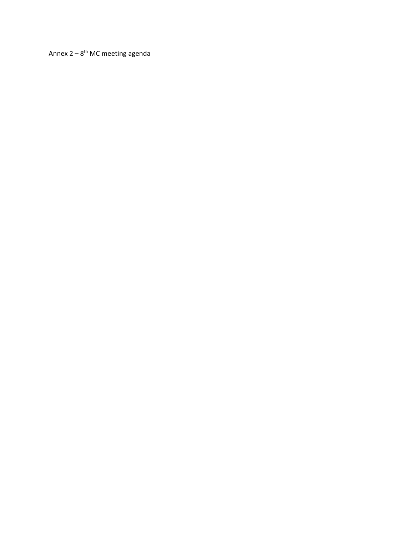Annex  $2 - 8$ <sup>th</sup> MC meeting agenda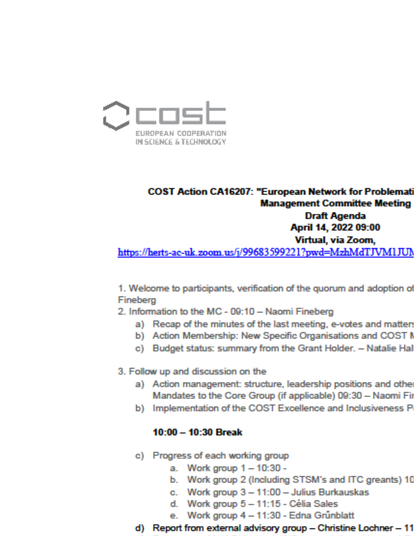

# **COST Action CA16207: "European Network for Problemati Management Committee Meeting** Draft Agenda April 14, 2022 09:00 Virtual, via Zoom, https://herts-ac-uk.zoom.us/j/99683599221?pwd=MzhMdTJVM1JUM

1. Welcome to participants, verification of the quorum and adoption of Fineberg

- 2. Information to the MC 09:10 Naomi Fineberg
	- a) Recap of the minutes of the last meeting, e-votes and matter.
	- b) Action Membership: New Specific Organisations and COST I
	- c) Budget status: summary from the Grant Holder. Natalie Hal
- 3. Follow up and discussion on the
	- a) Action management: structure, leadership positions and other Mandates to the Core Group (if applicable) 09:30 - Naomi Fir
	- b) Implementation of the COST Excellence and Inclusiveness P

# 10:00 - 10:30 Break

- c) Progress of each working group
	- a. Work group 1 10:30 -
	- b. Work group 2 (Including STSM's and ITC greants) 10
	- c. Work group 3 11:00 Julius Burkauskas
	- d. Work group 5 11:15 Célia Sales
	- Work group 4 11:30 Edna Grünblatt е.
- d) Report from external advisory group Christine Lochner 11
	-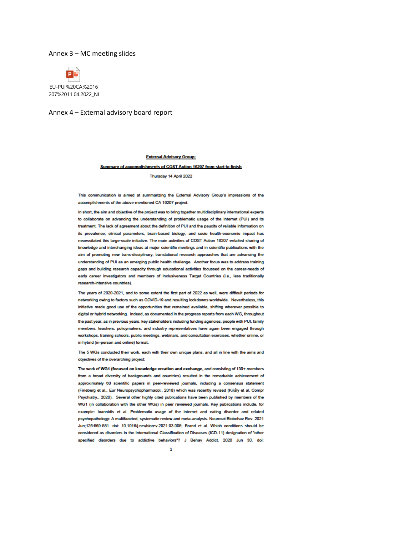### Annex 3 – MC meeting slides



### Annex 4 – External advisory board report

#### **External Advisory Group:**

### Summary of accomplishments of COST Action 16207 from start to finish

Thursday 14 April 2022

This communication is aimed at summarizing the External Advisory Group's impressions of the accomplishments of the above-mentioned CA 16207 project.

In short, the aim and objective of the project was to bring together multidisciplinary international experts to collaborate on advancing the understanding of problematic usage of the Internet (PUI) and its treatment. The lack of agreement about the definition of PUI and the paucity of reliable information on its prevalence, clinical parameters, brain-based biology, and socio health-economic impact has necessitated this large-scale initiative. The main activities of COST Action 16207 entailed sharing of knowledge and interchanging ideas at major scientific meetings and in scientific publications with the aim of promoting new trans-disciplinary, translational research approaches that are advancing the understanding of PUI as an emerging public health challenge. Another focus was to address training gaps and building research capacity through educational activities focussed on the career-needs of early career investigators and members of Inclusiveness Target Countries (i.e., less traditionally research-intensive countries).

The years of 2020-2021, and to some extent the first part of 2022 as well, were difficult periods for networking owing to factors such as COVID-19 and resulting lockdowns worldwide. Nevertheless, this initiative made good use of the opportunities that remained available, shifting wherever possible to digital or hybrid networking. Indeed, as documented in the progress reports from each WG, throughout the past year, as in previous years, key stakeholders including funding agencies, people with PUI, family members, teachers, policymakers, and industry representatives have again been engaged through workshops, training schools, public meetings, webinars, and consultation exercises, whether online, or in hybrid (in-person and online) format.

The 5 WGs conducted their work, each with their own unique plans, and all in line with the aims and objectives of the overarching project:

The work of WG1 (focused on knowledge creation and exchange, and consisting of 130+ members from a broad diversity of backgrounds and countries) resulted in the remarkable achievement of approximately 60 scientific papers in peer-reviewed journals, including a consensus statement (Fineberg et al., Eur Neuropsychopharmacol., 2018) which was recently revised (Király et al. Compr Psychiatry., 2020). Several other highly cited publications have been published by members of the WG1 (in collaboration with the other WGs) in peer reviewed journals. Key publications include, for example: loannidis et al. Problematic usage of the internet and eating disorder and related psychopathology: A multifaceted, systematic review and meta-analysis. Neurosci Biobehav Rev. 2021 Jun;125:569-581. doi: 10.1016/j.neubiorev.2021.03.005; Brand et al. Which conditions should be considered as disorders in the International Classification of Diseases (ICD-11) designation of "other specified disorders due to addictive behaviors"? J Behav Addict. 2020 Jun 30. doi: